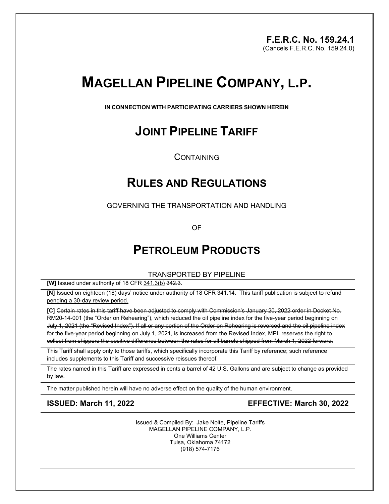**F.E.R.C. No. 159.24.1**  (Cancels F.E.R.C. No. 159.24.0)

# **MAGELLAN PIPELINE COMPANY, L.P.**

**IN CONNECTION WITH PARTICIPATING CARRIERS SHOWN HEREIN**

## **JOINT PIPELINE TARIFF**

**CONTAINING** 

## **RULES AND REGULATIONS**

GOVERNING THE TRANSPORTATION AND HANDLING

OF

## **PETROLEUM PRODUCTS**

TRANSPORTED BY PIPELINE

**[W]** Issued under authority of 18 CFR 341.3(b) 342.3.

**[N]** Issued on eighteen (18) days' notice under authority of 18 CFR 341.14. This tariff publication is subject to refund pending a 30-day review period.

**[C]** Certain rates in this tariff have been adjusted to comply with Commission's January 20, 2022 order in Docket No. RM20-14-001 (the "Order on Rehearing"), which reduced the oil pipeline index for the five-year period beginning on July 1, 2021 (the "Revised Index"). If all or any portion of the Order on Rehearing is reversed and the oil pipeline index for the five-year period beginning on July 1, 2021, is increased from the Revised Index, MPL reserves the right to collect from shippers the positive difference between the rates for all barrels shipped from March 1, 2022 forward.

This Tariff shall apply only to those tariffs, which specifically incorporate this Tariff by reference; such reference includes supplements to this Tariff and successive reissues thereof.

The rates named in this Tariff are expressed in cents a barrel of 42 U.S. Gallons and are subject to change as provided by law.

The matter published herein will have no adverse effect on the quality of the human environment.

**ISSUED: March 11, 2022 EFFECTIVE: March 30, 2022**

Issued & Compiled By: Jake Nolte, Pipeline Tariffs MAGELLAN PIPELINE COMPANY, L.P. One Williams Center Tulsa, Oklahoma 74172 (918) 574-7176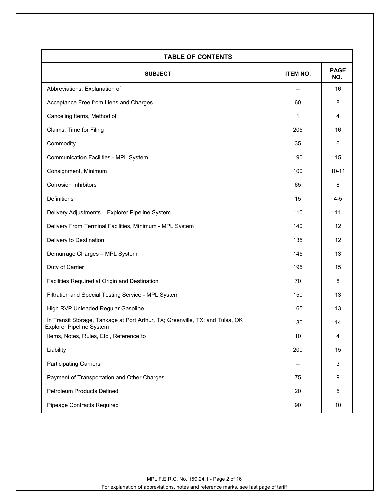| <b>TABLE OF CONTENTS</b>                                                                                         |                 |                    |
|------------------------------------------------------------------------------------------------------------------|-----------------|--------------------|
| <b>SUBJECT</b>                                                                                                   | <b>ITEM NO.</b> | <b>PAGE</b><br>NO. |
| Abbreviations, Explanation of                                                                                    |                 | 16                 |
| Acceptance Free from Liens and Charges                                                                           | 60              | 8                  |
| Canceling Items, Method of                                                                                       | 1               | 4                  |
| Claims: Time for Filing                                                                                          | 205             | 16                 |
| Commodity                                                                                                        | 35              | 6                  |
| <b>Communication Facilities - MPL System</b>                                                                     | 190             | 15                 |
| Consignment, Minimum                                                                                             | 100             | $10 - 11$          |
| <b>Corrosion Inhibitors</b>                                                                                      | 65              | 8                  |
| Definitions                                                                                                      | 15              | $4 - 5$            |
| Delivery Adjustments - Explorer Pipeline System                                                                  | 110             | 11                 |
| Delivery From Terminal Facilities, Minimum - MPL System                                                          | 140             | 12                 |
| Delivery to Destination                                                                                          | 135             | 12                 |
| Demurrage Charges - MPL System                                                                                   | 145             | 13                 |
| Duty of Carrier                                                                                                  | 195             | 15                 |
| Facilities Required at Origin and Destination                                                                    | 70              | 8                  |
| Filtration and Special Testing Service - MPL System                                                              | 150             | 13                 |
| High RVP Unleaded Regular Gasoline                                                                               | 165             | 13                 |
| In Transit Storage, Tankage at Port Arthur, TX; Greenville, TX; and Tulsa, OK<br><b>Explorer Pipeline System</b> | 180             | 14                 |
| Items, Notes, Rules, Etc., Reference to                                                                          | $10$            | 4                  |
| Liability                                                                                                        | 200             | 15                 |
| <b>Participating Carriers</b>                                                                                    |                 | 3                  |
| Payment of Transportation and Other Charges                                                                      | 75              | 9                  |
| Petroleum Products Defined                                                                                       | 20              | 5                  |
| Pipeage Contracts Required                                                                                       | $90\,$          | 10                 |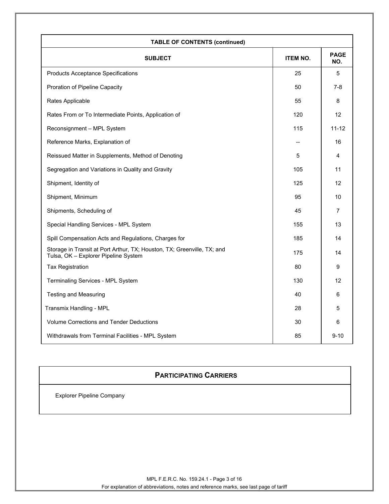| <b>TABLE OF CONTENTS (continued)</b>                                                                            |                 |                    |
|-----------------------------------------------------------------------------------------------------------------|-----------------|--------------------|
| <b>SUBJECT</b>                                                                                                  | <b>ITEM NO.</b> | <b>PAGE</b><br>NO. |
| <b>Products Acceptance Specifications</b>                                                                       | 25              | 5                  |
| Proration of Pipeline Capacity                                                                                  | 50              | $7 - 8$            |
| Rates Applicable                                                                                                | 55              | 8                  |
| Rates From or To Intermediate Points, Application of                                                            | 120             | 12                 |
| Reconsignment - MPL System                                                                                      | 115             | $11 - 12$          |
| Reference Marks, Explanation of                                                                                 | --              | 16                 |
| Reissued Matter in Supplements, Method of Denoting                                                              | 5               | 4                  |
| Segregation and Variations in Quality and Gravity                                                               | 105             | 11                 |
| Shipment, Identity of                                                                                           | 125             | 12                 |
| Shipment, Minimum                                                                                               | 95              | 10                 |
| Shipments, Scheduling of                                                                                        | 45              | $\overline{7}$     |
| Special Handling Services - MPL System                                                                          | 155             | 13                 |
| Spill Compensation Acts and Regulations, Charges for                                                            | 185             | 14                 |
| Storage in Transit at Port Arthur, TX; Houston, TX; Greenville, TX; and<br>Tulsa, OK - Explorer Pipeline System | 175             | 14                 |
| <b>Tax Registration</b>                                                                                         | 80              | 9                  |
| Terminaling Services - MPL System                                                                               | 130             | 12                 |
| <b>Testing and Measuring</b>                                                                                    | 40              | 6                  |
| Transmix Handling - MPL                                                                                         | 28              | 5                  |
| <b>Volume Corrections and Tender Deductions</b>                                                                 | 30              | 6                  |
| Withdrawals from Terminal Facilities - MPL System                                                               | 85              | $9 - 10$           |

### **PARTICIPATING CARRIERS**

**Explorer Pipeline Company**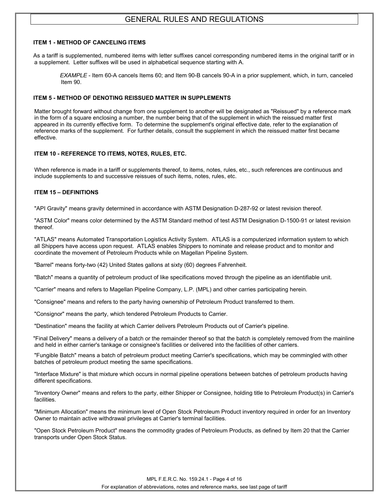#### **ITEM 1 - METHOD OF CANCELING ITEMS**

As a tariff is supplemented, numbered items with letter suffixes cancel corresponding numbered items in the original tariff or in a supplement. Letter suffixes will be used in alphabetical sequence starting with A.

*EXAMPLE* - Item 60-A cancels Items 60; and Item 90-B cancels 90-A in a prior supplement, which, in turn, canceled Item 90.

#### **ITEM 5 - METHOD OF DENOTING REISSUED MATTER IN SUPPLEMENTS**

Matter brought forward without change from one supplement to another will be designated as "Reissued" by a reference mark in the form of a square enclosing a number, the number being that of the supplement in which the reissued matter first appeared in its currently effective form. To determine the supplement's original effective date, refer to the explanation of reference marks of the supplement. For further details, consult the supplement in which the reissued matter first became effective.

#### **ITEM 10 - REFERENCE TO ITEMS, NOTES, RULES, ETC.**

When reference is made in a tariff or supplements thereof, to items, notes, rules, etc., such references are continuous and include supplements to and successive reissues of such items, notes, rules, etc.

### **ITEM 15 – DEFINITIONS**

"API Gravity" means gravity determined in accordance with ASTM Designation D-287-92 or latest revision thereof.

"ASTM Color" means color determined by the ASTM Standard method of test ASTM Designation D-1500-91 or latest revision thereof.

"ATLAS" means Automated Transportation Logistics Activity System. ATLAS is a computerized information system to which all Shippers have access upon request. ATLAS enables Shippers to nominate and release product and to monitor and coordinate the movement of Petroleum Products while on Magellan Pipeline System.

"Barrel" means forty-two (42) United States gallons at sixty (60) degrees Fahrenheit.

"Batch" means a quantity of petroleum product of like specifications moved through the pipeline as an identifiable unit.

"Carrier" means and refers to Magellan Pipeline Company, L.P. (MPL) and other carries participating herein.

"Consignee" means and refers to the party having ownership of Petroleum Product transferred to them.

"Consignor" means the party, which tendered Petroleum Products to Carrier.

"Destination" means the facility at which Carrier delivers Petroleum Products out of Carrier's pipeline.

"Final Delivery" means a delivery of a batch or the remainder thereof so that the batch is completely removed from the mainline and held in either carrier's tankage or consignee's facilities or delivered into the facilities of other carriers.

"Fungible Batch" means a batch of petroleum product meeting Carrier's specifications, which may be commingled with other batches of petroleum product meeting the same specifications.

"Interface Mixture" is that mixture which occurs in normal pipeline operations between batches of petroleum products having different specifications.

"Inventory Owner" means and refers to the party, either Shipper or Consignee, holding title to Petroleum Product(s) in Carrier's facilities.

"Minimum Allocation" means the minimum level of Open Stock Petroleum Product inventory required in order for an Inventory Owner to maintain active withdrawal privileges at Carrier's terminal facilities.

"Open Stock Petroleum Product" means the commodity grades of Petroleum Products, as defined by Item 20 that the Carrier transports under Open Stock Status.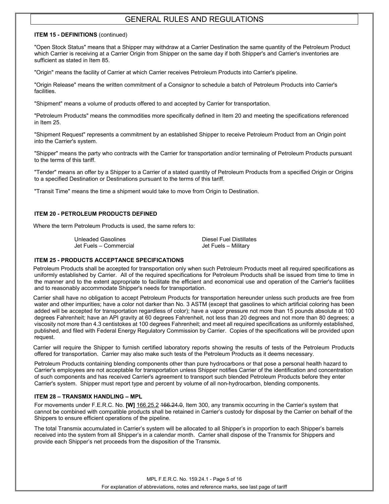#### **ITEM 15 - DEFINITIONS** (continued)

"Open Stock Status" means that a Shipper may withdraw at a Carrier Destination the same quantity of the Petroleum Product which Carrier is receiving at a Carrier Origin from Shipper on the same day if both Shipper's and Carrier's inventories are sufficient as stated in Item 85.

"Origin" means the facility of Carrier at which Carrier receives Petroleum Products into Carrier's pipeline.

"Origin Release" means the written commitment of a Consignor to schedule a batch of Petroleum Products into Carrier's facilities.

"Shipment" means a volume of products offered to and accepted by Carrier for transportation.

"Petroleum Products" means the commodities more specifically defined in Item 20 and meeting the specifications referenced in Item 25.

"Shipment Request" represents a commitment by an established Shipper to receive Petroleum Product from an Origin point into the Carrier's system.

"Shipper" means the party who contracts with the Carrier for transportation and/or terminaling of Petroleum Products pursuant to the terms of this tariff.

"Tender" means an offer by a Shipper to a Carrier of a stated quantity of Petroleum Products from a specified Origin or Origins to a specified Destination or Destinations pursuant to the terms of this tariff.

"Transit Time" means the time a shipment would take to move from Origin to Destination.

#### **ITEM 20 - PETROLEUM PRODUCTS DEFINED**

Where the term Petroleum Products is used, the same refers to:

Unleaded Gasolines<br>
Jet Fuels – Commercial and Diesel Fuels – Military<br>
Jet Fuels – Military Jet Fuels – Commercial

#### **ITEM 25 - PRODUCTS ACCEPTANCE SPECIFICATIONS**

Petroleum Products shall be accepted for transportation only when such Petroleum Products meet all required specifications as uniformly established by Carrier. All of the required specifications for Petroleum Products shall be issued from time to time in the manner and to the extent appropriate to facilitate the efficient and economical use and operation of the Carrier's facilities and to reasonably accommodate Shipper's needs for transportation.

Carrier shall have no obligation to accept Petroleum Products for transportation hereunder unless such products are free from water and other impurities; have a color not darker than No. 3 ASTM (except that gasolines to which artificial coloring has been added will be accepted for transportation regardless of color); have a vapor pressure not more than 15 pounds absolute at 100 degrees Fahrenheit; have an API gravity at 60 degrees Fahrenheit, not less than 20 degrees and not more than 80 degrees; a viscosity not more than 4.3 centistokes at 100 degrees Fahrenheit; and meet all required specifications as uniformly established, published, and filed with Federal Energy Regulatory Commission by Carrier. Copies of the specifications will be provided upon request.

Carrier will require the Shipper to furnish certified laboratory reports showing the results of tests of the Petroleum Products offered for transportation. Carrier may also make such tests of the Petroleum Products as it deems necessary.

Petroleum Products containing blending components other than pure hydrocarbons or that pose a personal health hazard to Carrier's employees are not acceptable for transportation unless Shipper notifies Carrier of the identification and concentration of such components and has received Carrier's agreement to transport such blended Petroleum Products before they enter Carrier's system. Shipper must report type and percent by volume of all non-hydrocarbon, blending components.

#### **ITEM 28 – TRANSMIX HANDLING – MPL**

For movements under F.E.R.C. No. **[W]** 166.25.2 166.24.0, Item 300, any transmix occurring in the Carrier's system that cannot be combined with compatible products shall be retained in Carrier's custody for disposal by the Carrier on behalf of the Shippers to ensure efficient operations of the pipeline.

The total Transmix accumulated in Carrier's system will be allocated to all Shipper's in proportion to each Shipper's barrels received into the system from all Shipper's in a calendar month. Carrier shall dispose of the Transmix for Shippers and provide each Shipper's net proceeds from the disposition of the Transmix.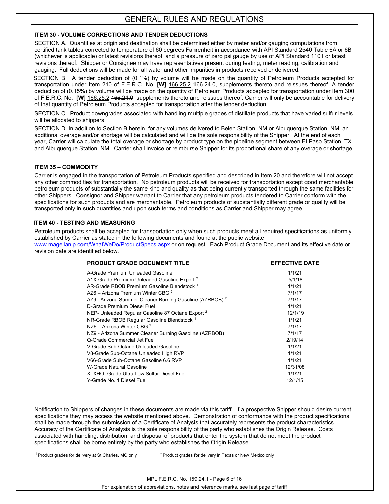#### **ITEM 30 - VOLUME CORRECTIONS AND TENDER DEDUCTIONS**

SECTION A. Quantities at origin and destination shall be determined either by meter and/or gauging computations from certified tank tables corrected to temperature of 60 degrees Fahrenheit in accordance with API Standard 2540 Table 6A or 6B (whichever is applicable) or latest revisions thereof, and a pressure of zero psi gauge by use of API Standard 1101 or latest revisions thereof. Shipper or Consignee may have representatives present during testing, meter reading, calibration and gauging. Full deductions will be made for all water and other impurities in products received or delivered.

SECTION B. A tender deduction of (0.1%) by volume will be made on the quantity of Petroleum Products accepted for transportation under Item 210 of F.E.R.C. No. **[W]** 166.25.2 166.24.0, supplements thereto and reissues thereof. A tender deduction of (0.15%) by volume will be made on the quantity of Petroleum Products accepted for transportation under Item 300 of F.E.R.C. No. **[W]** 166.25.2 166.24.0, supplements thereto and reissues thereof. Carrier will only be accountable for delivery of that quantity of Petroleum Products accepted for transportation after the tender deduction.

SECTION C. Product downgrades associated with handling multiple grades of distillate products that have varied sulfur levels will be allocated to shippers.

SECTION D. In addition to Section B herein, for any volumes delivered to Belen Station, NM or Albuquerque Station, NM, an additional overage and/or shortage will be calculated and will be the sole responsibility of the Shipper. At the end of each year, Carrier will calculate the total overage or shortage by product type on the pipeline segment between El Paso Station, TX and Albuquerque Station, NM. Carrier shall invoice or reimburse Shipper for its proportional share of any overage or shortage.

#### **ITEM 35 – COMMODITY**

Carrier is engaged in the transportation of Petroleum Products specified and described in Item 20 and therefore will not accept any other commodities for transportation. No petroleum products will be received for transportation except good merchantable petroleum products of substantially the same kind and quality as that being currently transported through the same facilities for other Shippers. Consignor and Shipper warrant to Carrier that any petroleum products tendered to Carrier conform with the specifications for such products and are merchantable. Petroleum products of substantially different grade or quality will be transported only in such quantities and upon such terms and conditions as Carrier and Shipper may agree.

#### **ITEM 40 - TESTING AND MEASURING**

Petroleum products shall be accepted for transportation only when such products meet all required specifications as uniformly established by Carrier as stated in the following documents and found at the public website

[www.magellanlp.com/WhatWeDo/ProductSpecs.aspx](http://www.magellanlp.com/WhatWeDo/ProductSpecs.asp) or on request. Each Product Grade Document and its effective date or revision date are identified below.

| <b>PRODUCT GRADE DOCUMENT TITLE</b>                                 | <b>EFFECTIVE DATE</b> |
|---------------------------------------------------------------------|-----------------------|
| A-Grade Premium Unleaded Gasoline                                   | 1/1/21                |
| A1X-Grade Premium Unleaded Gasoline Export <sup>2</sup>             | 5/1/18                |
| AR-Grade RBOB Premium Gasoline Blendstock <sup>1</sup>              | 1/1/21                |
| AZ6 - Arizona Premium Winter CBG <sup>2</sup>                       | 7/1/17                |
| AZ9- Arizona Summer Cleaner Burning Gasoline (AZRBOB) <sup>2</sup>  | 7/1/17                |
| D-Grade Premium Diesel Fuel                                         | 1/1/21                |
| NEP- Unleaded Regular Gasoline 87 Octane Export <sup>2</sup>        | 12/1/19               |
| NR-Grade RBOB Regular Gasoline Blendstock <sup>1</sup>              | 1/1/21                |
| $N76 - Arizona Winter CBG2$                                         | 7/1/17                |
| NZ9 - Arizona Summer Cleaner Burning Gasoline (AZRBOB) <sup>2</sup> | 7/1/17                |
| Q-Grade Commercial Jet Fuel                                         | 2/19/14               |
| V-Grade Sub-Octane Unleaded Gasoline                                | 1/1/21                |
| V8-Grade Sub-Octane Unleaded High RVP                               | 1/1/21                |
| V66-Grade Sub-Octane Gasoline 6.6 RVP                               | 1/1/21                |
| W-Grade Natural Gasoline                                            | 12/31/08              |
| X, XHO - Grade Ultra Low Sulfur Diesel Fuel                         | 1/1/21                |
| Y-Grade No. 1 Diesel Fuel                                           | 12/1/15               |

Notification to Shippers of changes in these documents are made via this tariff. If a prospective Shipper should desire current specifications they may access the website mentioned above. Demonstration of conformance with the product specifications shall be made through the submission of a Certificate of Analysis that accurately represents the product characteristics. Accuracy of the Certificate of Analysis is the sole responsibility of the party who establishes the Origin Release. Costs associated with handling, distribution, and disposal of products that enter the system that do not meet the product specifications shall be borne entirely by the party who establishes the Origin Release.

 $1$  Product grades for delivery at St Charles, MO only  $2$  Product grades for delivery in Texas or New Mexico only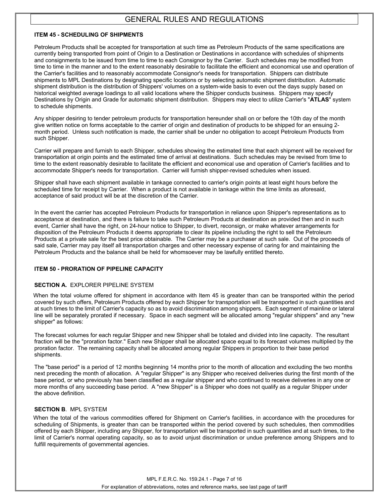### **ITEM 45 - SCHEDULING OF SHIPMENTS**

Petroleum Products shall be accepted for transportation at such time as Petroleum Products of the same specifications are currently being transported from point of Origin to a Destination or Destinations in accordance with schedules of shipments and consignments to be issued from time to time to each Consignor by the Carrier. Such schedules may be modified from time to time in the manner and to the extent reasonably desirable to facilitate the efficient and economical use and operation of the Carrier's facilities and to reasonably accommodate Consignor's needs for transportation. Shippers can distribute shipments to MPL Destinations by designating specific locations or by selecting automatic shipment distribution. Automatic shipment distribution is the distribution of Shippers' volumes on a system-wide basis to even out the days supply based on historical weighted average loadings to all valid locations where the Shipper conducts business. Shippers may specify Destinations by Origin and Grade for automatic shipment distribution. Shippers may elect to utilize Carrier's "**ATLAS**" system to schedule shipments.

Any shipper desiring to tender petroleum products for transportation hereunder shall on or before the 10th day of the month give written notice on forms acceptable to the carrier of origin and destination of products to be shipped for an ensuing 2 month period. Unless such notification is made, the carrier shall be under no obligation to accept Petroleum Products from such Shipper.

Carrier will prepare and furnish to each Shipper, schedules showing the estimated time that each shipment will be received for transportation at origin points and the estimated time of arrival at destinations. Such schedules may be revised from time to time to the extent reasonably desirable to facilitate the efficient and economical use and operation of Carrier's facilities and to accommodate Shipper's needs for transportation. Carrier will furnish shipper-revised schedules when issued.

Shipper shall have each shipment available in tankage connected to carrier's origin points at least eight hours before the scheduled time for receipt by Carrier. When a product is not available in tankage within the time limits as aforesaid, acceptance of said product will be at the discretion of the Carrier.

In the event the carrier has accepted Petroleum Products for transportation in reliance upon Shipper's representations as to acceptance at destination, and there is failure to take such Petroleum Products at destination as provided then and in such event, Carrier shall have the right, on 24-hour notice to Shipper, to divert, reconsign, or make whatever arrangements for disposition of the Petroleum Products it deems appropriate to clear its pipeline including the right to sell the Petroleum Products at a private sale for the best price obtainable. The Carrier may be a purchaser at such sale. Out of the proceeds of said sale, Carrier may pay itself all transportation charges and other necessary expense of caring for and maintaining the Petroleum Products and the balance shall be held for whomsoever may be lawfully entitled thereto.

#### **ITEM 50 - PRORATION OF PIPELINE CAPACITY**

#### **SECTION A.** EXPLORER PIPELINE SYSTEM

When the total volume offered for shipment in accordance with Item 45 is greater than can be transported within the period covered by such offers, Petroleum Products offered by each Shipper for transportation will be transported in such quantities and at such times to the limit of Carrier's capacity so as to avoid discrimination among shippers. Each segment of mainline or lateral line will be separately prorated if necessary. Space in each segment will be allocated among "regular shippers" and any "new shipper" as follows:

The forecast volumes for each regular Shipper and new Shipper shall be totaled and divided into line capacity. The resultant fraction will be the "proration factor." Each new Shipper shall be allocated space equal to its forecast volumes multiplied by the proration factor. The remaining capacity shall be allocated among regular Shippers in proportion to their base period shipments.

The "base period" is a period of 12 months beginning 14 months prior to the month of allocation and excluding the two months next preceding the month of allocation. A "regular Shipper" is any Shipper who received deliveries during the first month of the base period, or who previously has been classified as a regular shipper and who continued to receive deliveries in any one or more months of any succeeding base period. A "new Shipper" is a Shipper who does not qualify as a regular Shipper under the above definition.

### **SECTION B**. MPL SYSTEM

When the total of the various commodities offered for Shipment on Carrier's facilities, in accordance with the procedures for scheduling of Shipments, is greater than can be transported within the period covered by such schedules, then commodities offered by each Shipper, including any Shipper, for transportation will be transported in such quantities and at such times, to the limit of Carrier's normal operating capacity, so as to avoid unjust discrimination or undue preference among Shippers and to fulfill requirements of governmental agencies.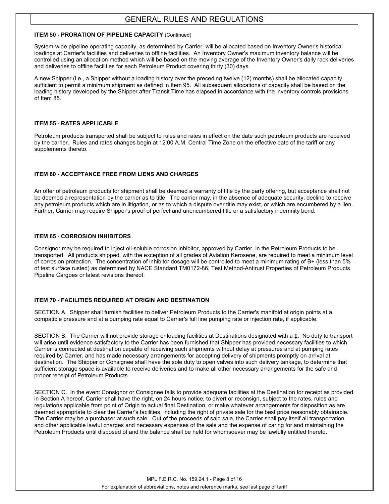#### **ITEM 50 - PRORATION OF PIPELINE CAPACITY (Continued)**

System-wide pipeline operating capacity, as determined by Carrier, will be allocated based on Inventory Owner's historical loadings at Carrier's facilities and deliveries to offline facilities. An Inventory Owner's maximum inventory balance will be controlled using an allocation method which will be based on the moving average of the Inventory Owner's daily rack deliveries and deliveries to offline facilities for each Petroleum Product covering thirty (30) days.

A new Shipper (i.e., a Shipper without a loading history over the preceding twelve (12) months) shall be allocated capacity sufficient to permit a minimum shipment as defined in Item 95. All subsequent allocations of capacity shall be based on the loading history developed by the Shipper after Transit Time has elapsed in accordance with the inventory controls provisions of Item 85.

#### **ITEM 55 - RATES APPLICABLE**

Petroleum products transported shall be subject to rules and rates in effect on the date such petroleum products are received by the carrier. Rules and rates changes begin at 12:00 A.M. Central Time Zone on the effective date of the tariff or any supplements thereto.

#### **ITEM 60 - ACCEPTANCE FREE FROM LIENS AND CHARGES**

An offer of petroleum products for shipment shall be deemed a warranty of title by the party offering, but acceptance shall not be deemed a representation by the carrier as to title. The carrier may, in the absence of adequate security, decline to receive any petroleum products which are in litigation, or as to which a dispute over title may exist, or which are encumbered by a lien. Further, Carrier may require Shipper's proof of perfect and unencumbered title or a satisfactory indemnity bond.

#### **ITEM 65 - CORROSION INHIBITORS**

Consignor may be required to inject oil-soluble corrosion inhibitor, approved by Carrier, in the Petroleum Products to be transported. All products shipped, with the exception of all grades of Aviation Kerosene, are required to meet a minimum level of corrosion protection. The concentration of inhibitor dosage will be controlled to meet a minimum rating of B+ (less than 5% of test surface rusted) as determined by NACE Standard TM0172-86, Test Method-Antirust Properties of Petroleum Products Pipeline Cargoes or latest revisions thereof.

#### **ITEM 70 - FACILITIES REQUIRED AT ORIGIN AND DESTINATION**

SECTION A. Shipper shall furnish facilities to deliver Petroleum Products to the Carrier's manifold at origin points at a compatible pressure and at a pumping rate equal to Carrier's full line pumping rate or injection rate, if applicable.

SECTION B. The Carrier will not provide storage or loading facilities at Destinations designated with a **‡**. No duty to transport will arise until evidence satisfactory to the Carrier has been furnished that Shipper has provided necessary facilities to which Carrier is connected at destination capable of receiving such shipments without delay at pressures and at pumping rates required by Carrier, and has made necessary arrangements for accepting delivery of shipments promptly on arrival at destination. The Shipper or Consignee shall have the sole duty to open valves into such delivery tankage, to determine that sufficient storage space is available to receive deliveries and to make all other necessary arrangements for the safe and proper receipt of Petroleum Products.

SECTION C. In the event Consignor or Consignee fails to provide adequate facilities at the Destination for receipt as provided in Section A hereof, Carrier shall have the right, on 24 hours notice, to divert or reconsign, subject to the rates, rules and regulations applicable from point of Origin to actual final Destination, or make whatever arrangements for disposition as are deemed appropriate to clear the Carrier's facilities, including the right of private sale for the best price reasonably obtainable. The Carrier may be a purchaser at such sale. Out of the proceeds of said sale, the Carrier shall pay itself all transportation and other applicable lawful charges and necessary expenses of the sale and the expense of caring for and maintaining the Petroleum Products until disposed of and the balance shall be held for whomsoever may be lawfully entitled thereto.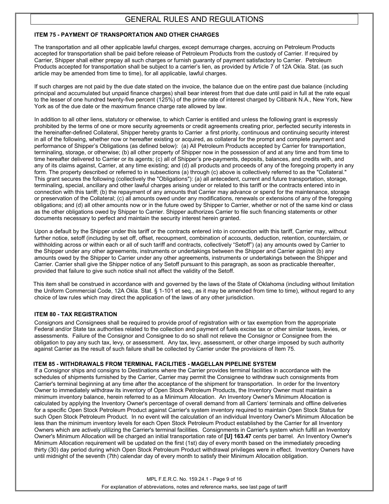### **ITEM 75 - PAYMENT OF TRANSPORTATION AND OTHER CHARGES**

The transportation and all other applicable lawful charges, except demurrage charges, accruing on Petroleum Products accepted for transportation shall be paid before release of Petroleum Products from the custody of Carrier. If required by Carrier, Shipper shall either prepay all such charges or furnish guaranty of payment satisfactory to Carrier. Petroleum Products accepted for transportation shall be subject to a carrier's lien, as provided by Article 7 of 12A Okla. Stat. (as such article may be amended from time to time), for all applicable, lawful charges.

If such charges are not paid by the due date stated on the invoice, the balance due on the entire past due balance (including principal and accumulated but unpaid finance charges) shall bear interest from that due date until paid in full at the rate equal to the lesser of one hundred twenty-five percent (125%) of the prime rate of interest charged by Citibank N.A., New York, New York as of the due date or the maximum finance charge rate allowed by law.

In addition to all other liens, statutory or otherwise, to which Carrier is entitled and unless the following grant is expressly prohibited by the terms of one or more security agreements or credit agreements creating prior, perfected security interests in the hereinafter-defined Collateral, Shipper hereby grants to Carrier a first priority, continuous and continuing security interest in all of the following, whether now or hereafter existing or acquired, as collateral for the prompt and complete payment and performance of Shipper's Obligations (as defined below): (a) All Petroleum Products accepted by Carrier for transportation, terminaling, storage, or otherwise; (b) all other property of Shipper now in the possession of and at any time and from time to time hereafter delivered to Carrier or its agents; (c) all of Shipper's pre-payments, deposits, balances, and credits with, and any of its claims against, Carrier, at any time existing; and (d) all products and proceeds of any of the foregoing property in any form. The property described or referred to in subsections (a) through (c) above is collectively referred to as the "Collateral." This grant secures the following (collectively the "Obligations"): (a) all antecedent, current and future transportation, storage, terminaling, special, ancillary and other lawful charges arising under or related to this tariff or the contracts entered into in connection with this tariff; (b) the repayment of any amounts that Carrier may advance or spend for the maintenance, storage or preservation of the Collateral; (c) all amounts owed under any modifications, renewals or extensions of any of the foregoing obligations; and (d) all other amounts now or in the future owed by Shipper to Carrier, whether or not of the same kind or class as the other obligations owed by Shipper to Carrier. Shipper authorizes Carrier to file such financing statements or other documents necessary to perfect and maintain the security interest herein granted.

Upon a default by the Shipper under this tariff or the contracts entered into in connection with this tariff, Carrier may, without further notice, setoff (including by set off, offset, recoupment, combination of accounts, deduction, retention, counterclaim, or withholding across or within each or all of such tariff and contracts, collectively "Setoff") (a) any amounts owed by Carrier to the Shipper under any other agreements, instruments or undertakings between the Shipper and Carrier against (b) any amounts owed by the Shipper to Carrier under any other agreements, instruments or undertakings between the Shipper and Carrier. Carrier shall give the Shipper notice of any Setoff pursuant to this paragraph, as soon as practicable thereafter, provided that failure to give such notice shall not affect the validity of the Setoff.

This item shall be construed in accordance with and governed by the laws of the State of Oklahoma (including without limitation the Uniform Commercial Code, 12A Okla. Stat. § 1-101 et seq., as it may be amended from time to time), without regard to any choice of law rules which may direct the application of the laws of any other jurisdiction.

#### **ITEM 80 - TAX REGISTRATION**

Consignors and Consignees shall be required to provide proof of registration with or tax exemption from the appropriate Federal and/or State tax authorities related to the collection and payment of fuels excise tax or other similar taxes, levies, or assessments. Failure of the Consignor and Consignee to do so shall not relieve the Consignor or Consignee from the obligation to pay any such tax, levy, or assessment. Any tax, levy, assessment, or other charge imposed by such authority against Carrier as the result of such failure shall be collected by Carrier under the provisions of Item 75.

#### **ITEM 85 - WITHDRAWALS FROM TERMINAL FACILITIES - MAGELLAN PIPELINE SYSTEM**

If a Consignor ships and consigns to Destinations where the Carrier provides terminal facilities in accordance with the schedules of shipments furnished by the Carrier, Carrier may permit the Consignee to withdraw such consignments from Carrier's terminal beginning at any time after the acceptance of the shipment for transportation. In order for the Inventory Owner to immediately withdraw its inventory of Open Stock Petroleum Products, the Inventory Owner must maintain a minimum inventory balance, herein referred to as a Minimum Allocation. An Inventory Owner's Minimum Allocation is calculated by applying the Inventory Owner's percentage of overall demand from all Carriers' terminals and offline deliveries for a specific Open Stock Petroleum Product against Carrier's system inventory required to maintain Open Stock Status for such Open Stock Petroleum Product. In no event will the calculation of an individual Inventory Owner's Minimum Allocation be less than the minimum inventory levels for each Open Stock Petroleum Product established by the Carrier for all Inventory Owners which are actively utilizing the Carrier's terminal facilities. Consignments in Carrier's system which fulfill an Inventory Owner's Minimum Allocation will be charged an initial transportation rate of **[U] 163.47** cents per barrel. An Inventory Owner's Minimum Allocation requirement will be updated on the first (1st) day of every month based on the immediately preceding thirty (30) day period during which Open Stock Petroleum Product withdrawal privileges were in effect. Inventory Owners have until midnight of the seventh (7th) calendar day of every month to satisfy their Minimum Allocation obligation.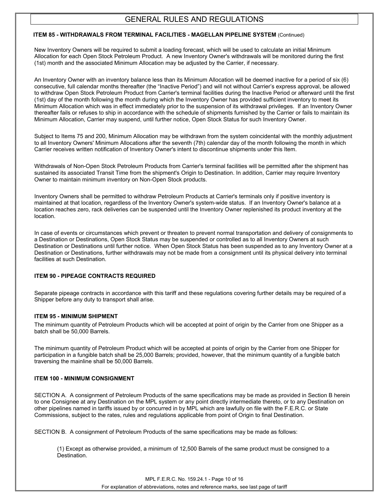#### **ITEM 85 - WITHDRAWALS FROM TERMINAL FACILITIES - MAGELLAN PIPELINE SYSTEM** (Continued)

New Inventory Owners will be required to submit a loading forecast, which will be used to calculate an initial Minimum Allocation for each Open Stock Petroleum Product. A new Inventory Owner's withdrawals will be monitored during the first (1st) month and the associated Minimum Allocation may be adjusted by the Carrier, if necessary.

An Inventory Owner with an inventory balance less than its Minimum Allocation will be deemed inactive for a period of six (6) consecutive, full calendar months thereafter (the "Inactive Period") and will not without Carrier's express approval, be allowed to withdraw Open Stock Petroleum Product from Carrier's terminal facilities during the Inactive Period or afterward until the first (1st) day of the month following the month during which the Inventory Owner has provided sufficient inventory to meet its Minimum Allocation which was in effect immediately prior to the suspension of its withdrawal privileges. If an Inventory Owner thereafter fails or refuses to ship in accordance with the schedule of shipments furnished by the Carrier or fails to maintain its Minimum Allocation, Carrier may suspend, until further notice, Open Stock Status for such Inventory Owner.

Subject to Items 75 and 200, Minimum Allocation may be withdrawn from the system coincidental with the monthly adjustment to all Inventory Owners' Minimum Allocations after the seventh (7th) calendar day of the month following the month in which Carrier receives written notification of Inventory Owner's intent to discontinue shipments under this Item.

Withdrawals of Non-Open Stock Petroleum Products from Carrier's terminal facilities will be permitted after the shipment has sustained its associated Transit Time from the shipment's Origin to Destination. In addition, Carrier may require Inventory Owner to maintain minimum inventory on Non-Open Stock products.

Inventory Owners shall be permitted to withdraw Petroleum Products at Carrier's terminals only if positive inventory is maintained at that location, regardless of the Inventory Owner's system-wide status. If an Inventory Owner's balance at a location reaches zero, rack deliveries can be suspended until the Inventory Owner replenished its product inventory at the location.

In case of events or circumstances which prevent or threaten to prevent normal transportation and delivery of consignments to a Destination or Destinations, Open Stock Status may be suspended or controlled as to all Inventory Owners at such Destination or Destinations until further notice. When Open Stock Status has been suspended as to any Inventory Owner at a Destination or Destinations, further withdrawals may not be made from a consignment until its physical delivery into terminal facilities at such Destination.

#### **ITEM 90 - PIPEAGE CONTRACTS REQUIRED**

Separate pipeage contracts in accordance with this tariff and these regulations covering further details may be required of a Shipper before any duty to transport shall arise.

#### **ITEM 95 - MINIMUM SHIPMENT**

The minimum quantity of Petroleum Products which will be accepted at point of origin by the Carrier from one Shipper as a batch shall be 50,000 Barrels.

The minimum quantity of Petroleum Product which will be accepted at points of origin by the Carrier from one Shipper for participation in a fungible batch shall be 25,000 Barrels; provided, however, that the minimum quantity of a fungible batch traversing the mainline shall be 50,000 Barrels.

#### **ITEM 100 - MINIMUM CONSIGNMENT**

SECTION A. A consignment of Petroleum Products of the same specifications may be made as provided in Section B herein to one Consignee at any Destination on the MPL system or any point directly intermediate thereto, or to any Destination on other pipelines named in tariffs issued by or concurred in by MPL which are lawfully on file with the F.E.R.C. or State Commissions, subject to the rates, rules and regulations applicable from point of Origin to final Destination.

SECTION B. A consignment of Petroleum Products of the same specifications may be made as follows:

(1) Except as otherwise provided, a minimum of 12,500 Barrels of the same product must be consigned to a Destination.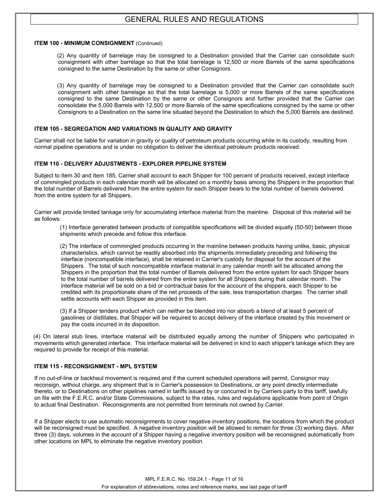#### **ITEM 100 - MINIMUM CONSIGNMENT** (Continued)

(2) Any quantity of barrelage may be consigned to a Destination provided that the Carrier can consolidate such consignment with other barrelage so that the total barrelage is 12,500 or more Barrels of the same specifications consigned to the same Destination by the same or other Consignors.

(3) Any quantity of barrelage may be consigned to a Destination provided that the Carrier can consolidate such consignment with other barrelage so that the total barrelage is 5,000 or more Barrels of the same specifications consigned to the same Destination by the same or other Consignors and further provided that the Carrier can consolidate the 5,000 Barrels with 12,500 or more Barrels of the same specifications consigned by the same or other Consignors to a Destination on the same line situated beyond the Destination to which the 5,000 Barrels are destined.

#### **ITEM 105 - SEGREGATION AND VARIATIONS IN QUALITY AND GRAVITY**

Carrier shall not be liable for variation in gravity or quality of petroleum products occurring while in its custody, resulting from normal pipeline operations and is under no obligation to deliver the identical petroleum products received.

#### **ITEM 110 - DELIVERY ADJUSTMENTS - EXPLORER PIPELINE SYSTEM**

Subject to Item 30 and Item 185, Carrier shall account to each Shipper for 100 percent of products received, except interface of commingled products in each calendar month will be allocated on a monthly basis among the Shippers in the proportion that the total number of Barrels delivered from the entire system for each Shipper bears to the total number of barrels delivered from the entire system for all Shippers.

Carrier will provide limited tankage only for accumulating interface material from the mainline. Disposal of this material will be as follows:

(1) Interface generated between products of compatible specifications will be divided equally (50-50) between those shipments which precede and follow this interface.

(2) The interface of commingled products occurring in the mainline between products having unlike, basic, physical characteristics, which cannot be readily absorbed into the shipments immediately preceding and following the interface (noncompatible interface), shall be retained in Carrier's custody for disposal for the account of the Shippers. The total of such noncompatible interface material in any calendar month will be allocated among the Shippers in the proportion that the total number of Barrels delivered from the entire system for each Shipper bears to the total number of barrels delivered from the entire system for all Shippers during that calendar month. The interface material will be sold on a bid or contractual basis for the account of the shippers, each Shipper to be credited with its proportionate share of the net proceeds of the sale, less transportation charges. The carrier shall settle accounts with each Shipper as provided in this item.

(3) If a Shipper tenders product which can neither be blended into nor absorb a blend of at least 5 percent of gasolines or distillates, that Shipper will be required to accept delivery of the interface created by this movement or pay the costs incurred in its disposition.

(4) On lateral stub lines, interface material will be distributed equally among the number of Shippers who participated in movements which generated interface. This interface material will be delivered in kind to each shipper's tankage which they are required to provide for receipt of this material.

#### **ITEM 115 - RECONSIGNMENT - MPL SYSTEM**

If no out-of-line or backhaul movement is required and if the current scheduled operations will permit, Consignor may reconsign, without charge, any shipment that is in Carrier's possession to Destinations, or any point directly intermediate thereto, or to Destinations on other pipelines named in tariffs issued by or concurred in by Carriers party to this tariff, lawfully on file with the F.E.R.C. and/or State Commissions, subject to the rates, rules and regulations applicable from point of Origin to actual final Destination. Reconsignments are not permitted from terminals not owned by Carrier.

If a Shipper elects to use automatic reconsignments to cover negative inventory positions, the locations from which the product will be reconsigned must be specified. A negative inventory position will be allowed to remain for three (3) working days. After three (3) days, volumes in the account of a Shipper having a negative inventory position will be reconsigned automatically from other locations on MPL to eliminate the negative inventory position.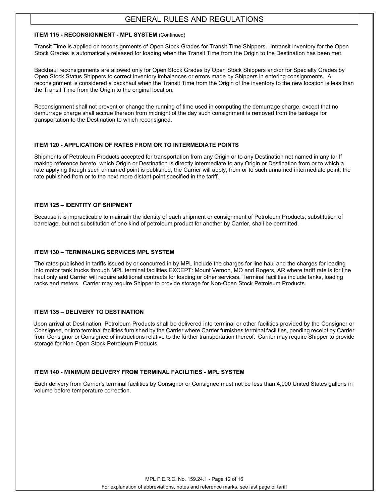#### **ITEM 115 - RECONSIGNMENT - MPL SYSTEM** (Continued)

Transit Time is applied on reconsignments of Open Stock Grades for Transit Time Shippers. Intransit inventory for the Open Stock Grades is automatically released for loading when the Transit Time from the Origin to the Destination has been met.

Backhaul reconsignments are allowed only for Open Stock Grades by Open Stock Shippers and/or for Specialty Grades by Open Stock Status Shippers to correct inventory imbalances or errors made by Shippers in entering consignments. A reconsignment is considered a backhaul when the Transit Time from the Origin of the inventory to the new location is less than the Transit Time from the Origin to the original location.

Reconsignment shall not prevent or change the running of time used in computing the demurrage charge, except that no demurrage charge shall accrue thereon from midnight of the day such consignment is removed from the tankage for transportation to the Destination to which reconsigned.

#### **ITEM 120 - APPLICATION OF RATES FROM OR TO INTERMEDIATE POINTS**

Shipments of Petroleum Products accepted for transportation from any Origin or to any Destination not named in any tariff making reference hereto, which Origin or Destination is directly intermediate to any Origin or Destination from or to which a rate applying though such unnamed point is published, the Carrier will apply, from or to such unnamed intermediate point, the rate published from or to the next more distant point specified in the tariff.

#### **ITEM 125 – IDENTITY OF SHIPMENT**

Because it is impracticable to maintain the identity of each shipment or consignment of Petroleum Products, substitution of barrelage, but not substitution of one kind of petroleum product for another by Carrier, shall be permitted.

#### **ITEM 130 – TERMINALING SERVICES MPL SYSTEM**

The rates published in tariffs issued by or concurred in by MPL include the charges for line haul and the charges for loading into motor tank trucks through MPL terminal facilities EXCEPT: Mount Vernon, MO and Rogers, AR where tariff rate is for line haul only and Carrier will require additional contracts for loading or other services. Terminal facilities include tanks, loading racks and meters. Carrier may require Shipper to provide storage for Non-Open Stock Petroleum Products.

#### **ITEM 135 – DELIVERY TO DESTINATION**

Upon arrival at Destination, Petroleum Products shall be delivered into terminal or other facilities provided by the Consignor or Consignee, or into terminal facilities furnished by the Carrier where Carrier furnishes terminal facilities, pending receipt by Carrier from Consignor or Consignee of instructions relative to the further transportation thereof. Carrier may require Shipper to provide storage for Non-Open Stock Petroleum Products.

#### **ITEM 140 - MINIMUM DELIVERY FROM TERMINAL FACILITIES - MPL SYSTEM**

Each delivery from Carrier's terminal facilities by Consignor or Consignee must not be less than 4,000 United States gallons in volume before temperature correction.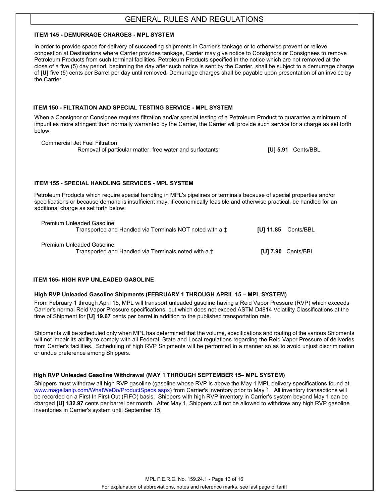#### **ITEM 145 - DEMURRAGE CHARGES - MPL SYSTEM**

In order to provide space for delivery of succeeding shipments in Carrier's tankage or to otherwise prevent or relieve congestion at Destinations where Carrier provides tankage, Carrier may give notice to Consignors or Consignees to remove Petroleum Products from such terminal facilities. Petroleum Products specified in the notice which are not removed at the close of a five (5) day period, beginning the day after such notice is sent by the Carrier, shall be subject to a demurrage charge of **[U]** five (5) cents per Barrel per day until removed. Demurrage charges shall be payable upon presentation of an invoice by the Carrier.

#### **ITEM 150 - FILTRATION AND SPECIAL TESTING SERVICE - MPL SYSTEM**

When a Consignor or Consignee requires filtration and/or special testing of a Petroleum Product to guarantee a minimum of impurities more stringent than normally warranted by the Carrier, the Carrier will provide such service for a charge as set forth below:

 Commercial Jet Fuel Filtration Removal of particular matter, free water and surfactants **[U] 5.91** Cents/BBL

#### **ITEM 155 - SPECIAL HANDLING SERVICES - MPL SYSTEM**

Petroleum Products which require special handling in MPL's pipelines or terminals because of special properties and/or specifications or because demand is insufficient may, if economically feasible and otherwise practical, be handled for an additional charge as set forth below:

| <b>Premium Unleaded Gasoline</b><br>Transported and Handled via Terminals NOT noted with a $\pm$ | $[U]$ 11.85 $Cents/BBL$ |
|--------------------------------------------------------------------------------------------------|-------------------------|
| <b>Premium Unleaded Gasoline</b><br>Transported and Handled via Terminals noted with a $\pm$     | [U] $7.90$ Cents/BBL    |

#### **ITEM 165- HIGH RVP UNLEADED GASOLINE**

#### **High RVP Unleaded Gasoline Shipments (FEBRUARY 1 THROUGH APRIL 15 – MPL SYSTEM)**

From February 1 through April 15, MPL will transport unleaded gasoline having a Reid Vapor Pressure (RVP) which exceeds Carrier's normal Reid Vapor Pressure specifications, but which does not exceed ASTM D4814 Volatility Classifications at the time of Shipment for **[U] 19.67** cents per barrel in addition to the published transportation rate.

Shipments will be scheduled only when MPL has determined that the volume, specifications and routing of the various Shipments will not impair its ability to comply with all Federal, State and Local regulations regarding the Reid Vapor Pressure of deliveries from Carrier's facilities. Scheduling of high RVP Shipments will be performed in a manner so as to avoid unjust discrimination or undue preference among Shippers.

#### **High RVP Unleaded Gasoline Withdrawal (MAY 1 THROUGH SEPTEMBER 15– MPL SYSTEM)**

Shippers must withdraw all high RVP gasoline (gasoline whose RVP is above the May 1 MPL delivery specifications found at [www.magellanlp.com/WhatWeDo/ProductSpecs.aspx\)](http://www.magellanlp.com/WhatWeDo/ProductSpecs.aspx) from Carrier's inventory prior to May 1. All inventory transactions will be recorded on a First In First Out (FIFO) basis. Shippers with high RVP inventory in Carrier's system beyond May 1 can be charged **[U] 132.97** cents per barrel per month. After May 1, Shippers will not be allowed to withdraw any high RVP gasoline inventories in Carrier's system until September 15.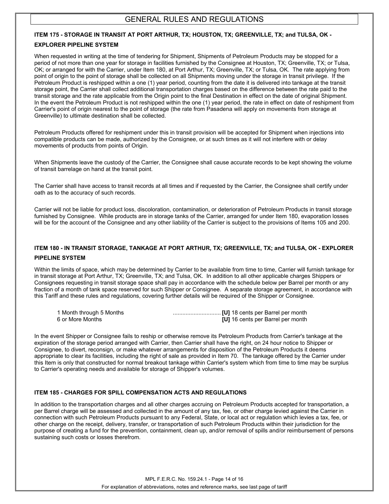#### **ITEM 175 - STORAGE IN TRANSIT AT PORT ARTHUR, TX; HOUSTON, TX; GREENVILLE, TX; and TULSA, OK -**

#### **EXPLORER PIPELINE SYSTEM**

When requested in writing at the time of tendering for Shipment, Shipments of Petroleum Products may be stopped for a period of not more than one year for storage in facilities furnished by the Consignee at Houston, TX; Greenville, TX; or Tulsa, OK; or arranged for with the Carrier, under Item 180, at Port Arthur, TX; Greenville, TX; or Tulsa, OK. The rate applying from point of origin to the point of storage shall be collected on all Shipments moving under the storage in transit privilege. If the Petroleum Product is reshipped within a one (1) year period, counting from the date it is delivered into tankage at the transit storage point, the Carrier shall collect additional transportation charges based on the difference between the rate paid to the transit storage and the rate applicable from the Origin point to the final Destination in effect on the date of original Shipment. In the event the Petroleum Product is not reshipped within the one (1) year period, the rate in effect on date of reshipment from Carrier's point of origin nearest to the point of storage (the rate from Pasadena will apply on movements from storage at Greenville) to ultimate destination shall be collected.

Petroleum Products offered for reshipment under this in transit provision will be accepted for Shipment when injections into compatible products can be made, authorized by the Consignee, or at such times as it will not interfere with or delay movements of products from points of Origin.

When Shipments leave the custody of the Carrier, the Consignee shall cause accurate records to be kept showing the volume of transit barrelage on hand at the transit point.

The Carrier shall have access to transit records at all times and if requested by the Carrier, the Consignee shall certify under oath as to the accuracy of such records.

Carrier will not be liable for product loss, discoloration, contamination, or deterioration of Petroleum Products in transit storage furnished by Consignee. While products are in storage tanks of the Carrier, arranged for under Item 180, evaporation losses will be for the account of the Consignee and any other liability of the Carrier is subject to the provisions of Items 105 and 200.

## **ITEM 180 - IN TRANSIT STORAGE, TANKAGE AT PORT ARTHUR, TX; GREENVILLE, TX; and TULSA, OK - EXPLORER**

#### **PIPELINE SYSTEM**

Within the limits of space, which may be determined by Carrier to be available from time to time, Carrier will furnish tankage for in transit storage at Port Arthur, TX; Greenville, TX; and Tulsa, OK. In addition to all other applicable charges Shippers or Consignees requesting in transit storage space shall pay in accordance with the schedule below per Barrel per month or any fraction of a month of tank space reserved for such Shipper or Consignee. A separate storage agreement, in accordance with this Tariff and these rules and regulations, covering further details will be required of the Shipper or Consignee.

| 1 Month through 5 Months |                                   |
|--------------------------|-----------------------------------|
| 6 or More Months         | [U] 16 cents per Barrel per month |

In the event Shipper or Consignee fails to reship or otherwise remove its Petroleum Products from Carrier's tankage at the expiration of the storage period arranged with Carrier, then Carrier shall have the right, on 24 hour notice to Shipper or Consignee, to divert, reconsign, or make whatever arrangements for disposition of the Petroleum Products it deems appropriate to clear its facilities, including the right of sale as provided in Item 70. The tankage offered by the Carrier under this Item is only that constructed for normal breakout tankage within Carrier's system which from time to time may be surplus to Carrier's operating needs and available for storage of Shipper's volumes.

#### **ITEM 185 - CHARGES FOR SPILL COMPENSATION ACTS AND REGULATIONS**

In addition to the transportation charges and all other charges accruing on Petroleum Products accepted for transportation, a per Barrel charge will be assessed and collected in the amount of any tax, fee, or other charge levied against the Carrier in connection with such Petroleum Products pursuant to any Federal, State, or local act or regulation which levies a tax, fee, or other charge on the receipt, delivery, transfer, or transportation of such Petroleum Products within their jurisdiction for the purpose of creating a fund for the prevention, containment, clean up, and/or removal of spills and/or reimbursement of persons sustaining such costs or losses therefrom.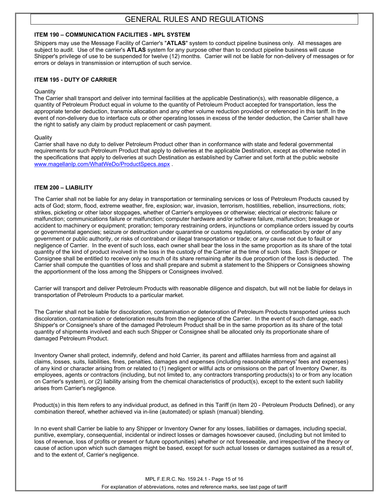#### **ITEM 190 – COMMUNICATION FACILITIES - MPL SYSTEM**

Shippers may use the Message Facility of Carrier's "**ATLAS**" system to conduct pipeline business only. All messages are subject to audit. Use of the carrier's **ATLAS** system for any purpose other than to conduct pipeline business will cause Shipper's privilege of use to be suspended for twelve (12) months. Carrier will not be liable for non-delivery of messages or for errors or delays in transmission or interruption of such service.

#### **ITEM 195 - DUTY OF CARRIER**

#### **Quantity**

The Carrier shall transport and deliver into terminal facilities at the applicable Destination(s), with reasonable diligence, a quantity of Petroleum Product equal in volume to the quantity of Petroleum Product accepted for transportation, less the appropriate tender deduction, transmix allocation and any other volume reduction provided or referenced in this tariff. In the event of non-delivery due to interface cuts or other operating losses in excess of the tender deduction, the Carrier shall have the right to satisfy any claim by product replacement or cash payment.

#### **Quality**

Carrier shall have no duty to deliver Petroleum Product other than in conformance with state and federal governmental requirements for such Petroleum Product that apply to deliveries at the applicable Destination, except as otherwise noted in the specifications that apply to deliveries at such Destination as established by Carrier and set forth at the public website [www.magellanlp.com/WhatWeDo/ProductSpecs.aspx](http://www.magellanlp.com/WhatWeDo/ProductSpecs.aspx) .

#### **ITEM 200 – LIABILITY**

The Carrier shall not be liable for any delay in transportation or terminaling services or loss of Petroleum Products caused by acts of God; storm, flood, extreme weather, fire, explosion; war, invasion, terrorism, hostilities, rebellion, insurrections, riots; strikes, picketing or other labor stoppages, whether of Carrier's employees or otherwise; electrical or electronic failure or malfunction; communications failure or malfunction; computer hardware and/or software failure, malfunction; breakage or accident to machinery or equipment; proration; temporary restraining orders, injunctions or compliance orders issued by courts or governmental agencies; seizure or destruction under quarantine or customs regulations, or confiscation by order of any government or public authority, or risks of contraband or illegal transportation or trade; or any cause not due to fault or negligence of Carrier. In the event of such loss, each owner shall bear the loss in the same proportion as its share of the total quantity of the kind of product involved in the loss in the custody of the Carrier at the time of such loss. Each Shipper or Consignee shall be entitled to receive only so much of its share remaining after its due proportion of the loss is deducted. The Carrier shall compute the quantities of loss and shall prepare and submit a statement to the Shippers or Consignees showing the apportionment of the loss among the Shippers or Consignees involved.

Carrier will transport and deliver Petroleum Products with reasonable diligence and dispatch, but will not be liable for delays in transportation of Petroleum Products to a particular market.

The Carrier shall not be liable for discoloration, contamination or deterioration of Petroleum Products transported unless such discoloration, contamination or deterioration results from the negligence of the Carrier. In the event of such damage, each Shipper's or Consignee's share of the damaged Petroleum Product shall be in the same proportion as its share of the total quantity of shipments involved and each such Shipper or Consignee shall be allocated only its proportionate share of damaged Petroleum Product.

Inventory Owner shall protect, indemnify, defend and hold Carrier, its parent and affiliates harmless from and against all claims, losses, suits, liabilities, fines, penalties, damages and expenses (including reasonable attorneys' fees and expenses) of any kind or character arising from or related to (1) negligent or willful acts or omissions on the part of Inventory Owner, its employees, agents or contractors (including, but not limited to, any contractors transporting products(s) to or from any location on Carrier's system), or (2) liability arising from the chemical characteristics of product(s), except to the extent such liability arises from Carrier's negligence.

Product(s) in this Item refers to any individual product, as defined in this Tariff (in Item 20 - Petroleum Products Defined), or any combination thereof, whether achieved via in-line (automated) or splash (manual) blending.

In no event shall Carrier be liable to any Shipper or Inventory Owner for any losses, liabilities or damages, including special, punitive, exemplary, consequential, incidental or indirect losses or damages howsoever caused, (including but not limited to loss of revenue, loss of profits or present or future opportunities) whether or not foreseeable, and irrespective of the theory or cause of action upon which such damages might be based, except for such actual losses or damages sustained as a result of, and to the extent of, Carrier's negligence.